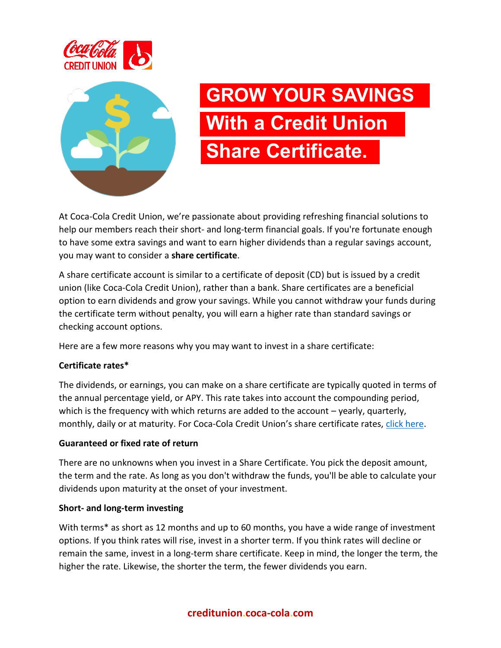



# **GROW YOUR SAVINGS With a Credit Union Share Certificate.**

At Coca-Cola Credit Union, we're passionate about providing refreshing financial solutions to help our members reach their short- and long-term financial goals. If you're fortunate enough to have some extra savings and want to earn higher dividends than a regular savings account, you may want to consider a **share certificate**.

A share certificate account is similar to a certificate of deposit (CD) but is issued by a credit union (like Coca-Cola Credit Union), rather than a bank. Share certificates are a beneficial option to earn dividends and grow your savings. While you cannot withdraw your funds during the certificate term without penalty, you will earn a higher rate than standard savings or checking account options.

Here are a few more reasons why you may want to invest in a share certificate:

## **Certificate rates\***

The dividends, or earnings, you can make on a share certificate are typically quoted in terms of the annual percentage yield, or APY. This rate takes into account the compounding period, which is the frequency with which returns are added to the account – yearly, quarterly, monthly, daily or at maturity. For Coca-Cola Credit Union's share certificate rates, [click here.](https://creditunion.coca-cola.com/rates-fees/)

#### **Guaranteed or fixed rate of return**

There are no unknowns when you invest in a Share Certificate. You pick the deposit amount, the term and the rate. As long as you don't withdraw the funds, you'll be able to calculate your dividends upon maturity at the onset of your investment.

#### **Short- and long-term investing**

With terms\* as short as 12 months and up to 60 months, you have a wide range of investment options. If you think rates will rise, invest in a shorter term. If you think rates will decline or remain the same, invest in a long-term share certificate. Keep in mind, the longer the term, the higher the rate. Likewise, the shorter the term, the fewer dividends you earn.